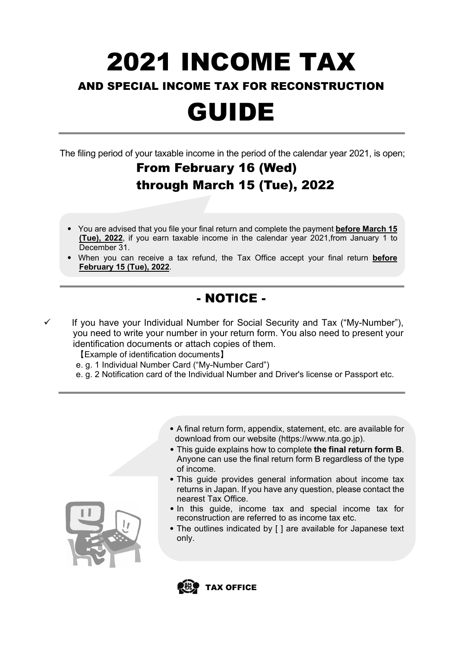# 2021 INCOME TAX

#### AND SPECIAL INCOME TAX FOR RECONSTRUCTION

## GUIDE

The filing period of your taxable income in the period of the calendar year 2021, is open;

### From February 16 (Wed) through March 15 (Tue), 2022

- You are advised that you file your final return and complete the payment **before March 15 (Tue), 2022**, if you earn taxable income in the calendar year 2021,from January 1 to December 31.
- When you can receive a tax refund, the Tax Office accept your final return **before February 15 (Tue), 2022**.

### - NOTICE -

 If you have your Individual Number for Social Security and Tax ("My-Number"), you need to write your number in your return form. You also need to present your identification documents or attach copies of them.

【Example of identification documents】

- e. g. 1 Individual Number Card ("My-Number Card")
- e. g. 2 Notification card of the Individual Number and Driver's license or Passport etc.



- This guide explains how to complete **the final return form B**. Anyone can use the final return form B regardless of the type of income.
- This guide provides general information about income tax returns in Japan. If you have any question, please contact the nearest Tax Office.
- In this guide, income tax and special income tax for reconstruction are referred to as income tax etc.
- The outlines indicated by [ ] are available for Japanese text only.